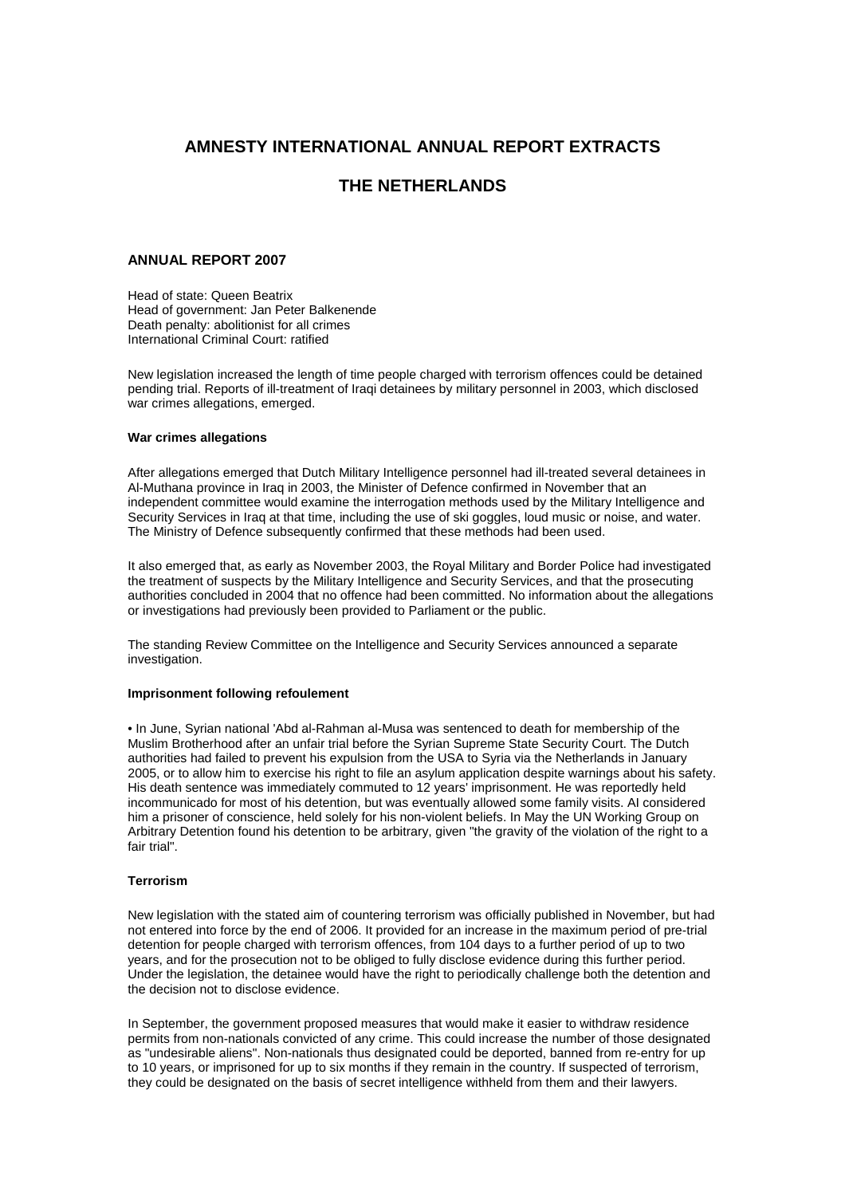# **AMNESTY INTERNATIONAL ANNUAL REPORT EXTRACTS**

# **THE NETHERLANDS**

## **ANNUAL REPORT 2007**

Head of state: Queen Beatrix Head of government: Jan Peter Balkenende Death penalty: abolitionist for all crimes International Criminal Court: ratified

New legislation increased the length of time people charged with terrorism offences could be detained pending trial. Reports of ill-treatment of Iraqi detainees by military personnel in 2003, which disclosed war crimes allegations, emerged.

## **War crimes allegations**

After allegations emerged that Dutch Military Intelligence personnel had ill-treated several detainees in Al-Muthana province in Iraq in 2003, the Minister of Defence confirmed in November that an independent committee would examine the interrogation methods used by the Military Intelligence and Security Services in Iraq at that time, including the use of ski goggles, loud music or noise, and water. The Ministry of Defence subsequently confirmed that these methods had been used.

It also emerged that, as early as November 2003, the Royal Military and Border Police had investigated the treatment of suspects by the Military Intelligence and Security Services, and that the prosecuting authorities concluded in 2004 that no offence had been committed. No information about the allegations or investigations had previously been provided to Parliament or the public.

The standing Review Committee on the Intelligence and Security Services announced a separate investigation.

## **Imprisonment following refoulement**

• In June, Syrian national 'Abd al-Rahman al-Musa was sentenced to death for membership of the Muslim Brotherhood after an unfair trial before the Syrian Supreme State Security Court. The Dutch authorities had failed to prevent his expulsion from the USA to Syria via the Netherlands in January 2005, or to allow him to exercise his right to file an asylum application despite warnings about his safety. His death sentence was immediately commuted to 12 years' imprisonment. He was reportedly held incommunicado for most of his detention, but was eventually allowed some family visits. AI considered him a prisoner of conscience, held solely for his non-violent beliefs. In May the UN Working Group on Arbitrary Detention found his detention to be arbitrary, given "the gravity of the violation of the right to a fair trial".

#### **Terrorism**

New legislation with the stated aim of countering terrorism was officially published in November, but had not entered into force by the end of 2006. It provided for an increase in the maximum period of pre-trial detention for people charged with terrorism offences, from 104 days to a further period of up to two years, and for the prosecution not to be obliged to fully disclose evidence during this further period. Under the legislation, the detainee would have the right to periodically challenge both the detention and the decision not to disclose evidence.

In September, the government proposed measures that would make it easier to withdraw residence permits from non-nationals convicted of any crime. This could increase the number of those designated as "undesirable aliens". Non-nationals thus designated could be deported, banned from re-entry for up to 10 years, or imprisoned for up to six months if they remain in the country. If suspected of terrorism, they could be designated on the basis of secret intelligence withheld from them and their lawyers.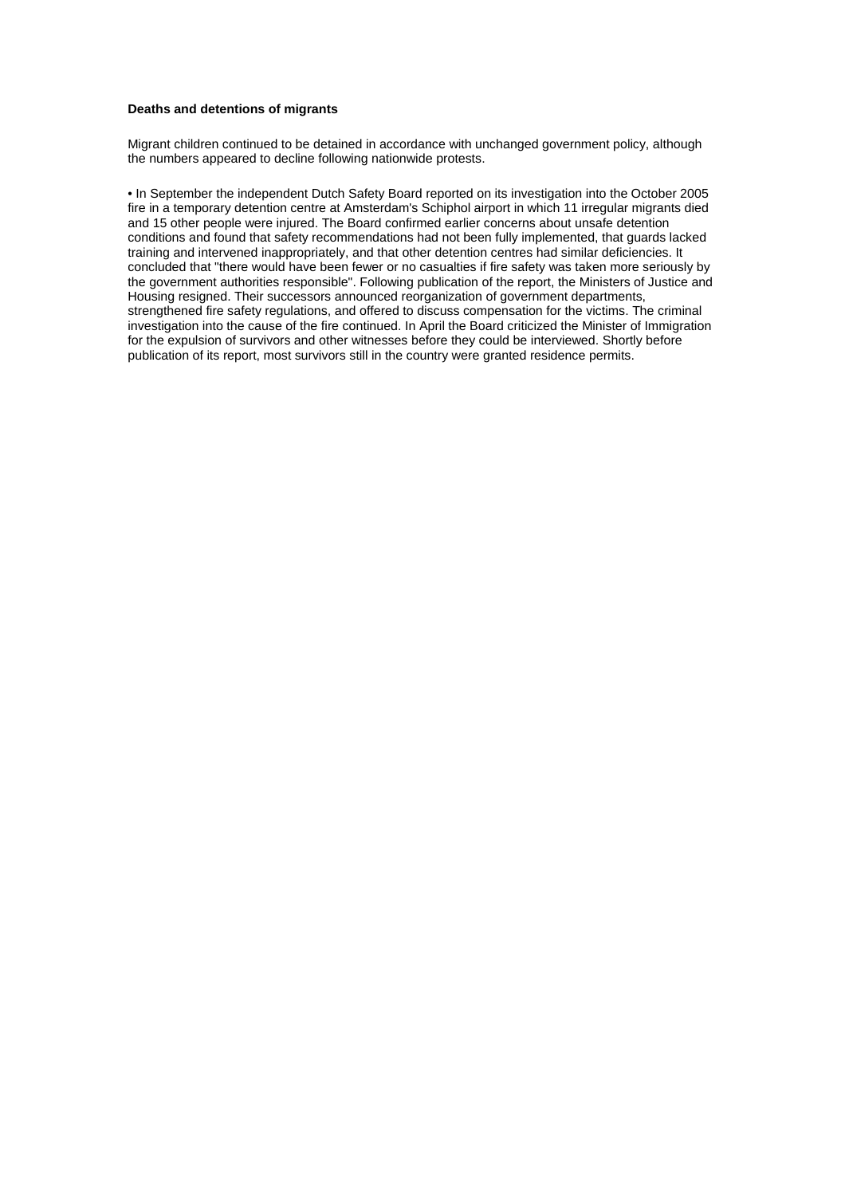### **Deaths and detentions of migrants**

Migrant children continued to be detained in accordance with unchanged government policy, although the numbers appeared to decline following nationwide protests.

• In September the independent Dutch Safety Board reported on its investigation into the October 2005 fire in a temporary detention centre at Amsterdam's Schiphol airport in which 11 irregular migrants died and 15 other people were injured. The Board confirmed earlier concerns about unsafe detention conditions and found that safety recommendations had not been fully implemented, that guards lacked training and intervened inappropriately, and that other detention centres had similar deficiencies. It concluded that "there would have been fewer or no casualties if fire safety was taken more seriously by the government authorities responsible". Following publication of the report, the Ministers of Justice and Housing resigned. Their successors announced reorganization of government departments, strengthened fire safety regulations, and offered to discuss compensation for the victims. The criminal investigation into the cause of the fire continued. In April the Board criticized the Minister of Immigration for the expulsion of survivors and other witnesses before they could be interviewed. Shortly before publication of its report, most survivors still in the country were granted residence permits.